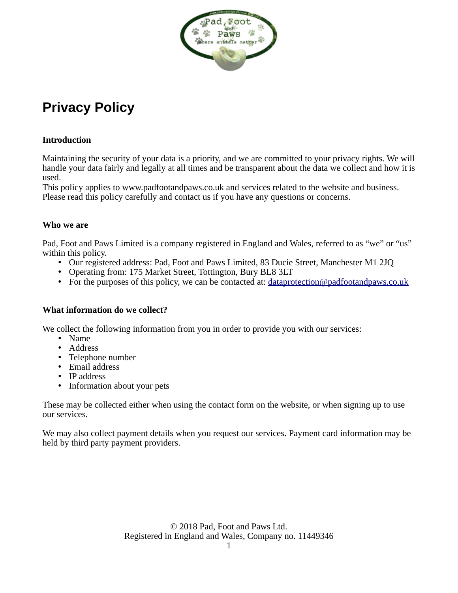

# **Privacy Policy**

# **Introduction**

Maintaining the security of your data is a priority, and we are committed to your privacy rights. We will handle your data fairly and legally at all times and be transparent about the data we collect and how it is used.

This policy applies to www.padfootandpaws.co.uk and services related to the website and business. Please read this policy carefully and contact us if you have any questions or concerns.

## **Who we are**

Pad, Foot and Paws Limited is a company registered in England and Wales, referred to as "we" or "us" within this policy.

- Our registered address: Pad, Foot and Paws Limited, 83 Ducie Street, Manchester M1 2JQ
- Operating from: 175 Market Street, Tottington, Bury BL8 3LT
- For the purposes of this policy, we can be contacted at:  $dataprotein@padfootandpaws.co.uk$

# **What information do we collect?**

We collect the following information from you in order to provide you with our services:

- Name
- Address
- Telephone number
- Email address
- IP address
- Information about your pets

These may be collected either when using the contact form on the website, or when signing up to use our services.

We may also collect payment details when you request our services. Payment card information may be held by third party payment providers.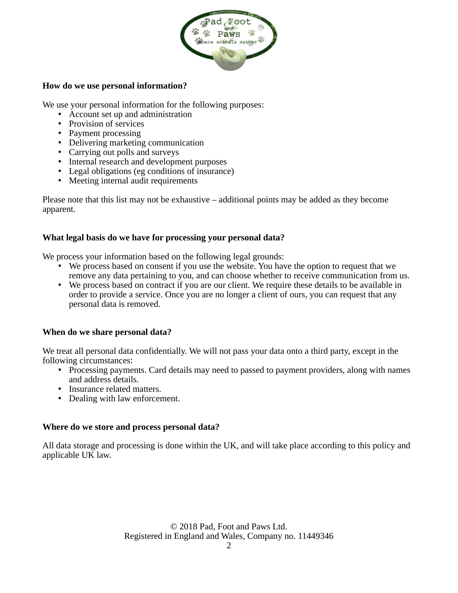

## **How do we use personal information?**

We use your personal information for the following purposes:

- Account set up and administration
- Provision of services
- Payment processing
- Delivering marketing communication
- Carrying out polls and surveys
- Internal research and development purposes
- Legal obligations (eg conditions of insurance)
- Meeting internal audit requirements

Please note that this list may not be exhaustive – additional points may be added as they become apparent.

## **What legal basis do we have for processing your personal data?**

We process your information based on the following legal grounds:

- We process based on consent if you use the website. You have the option to request that we remove any data pertaining to you, and can choose whether to receive communication from us.
- We process based on contract if you are our client. We require these details to be available in order to provide a service. Once you are no longer a client of ours, you can request that any personal data is removed.

# **When do we share personal data?**

We treat all personal data confidentially. We will not pass your data onto a third party, except in the following circumstances:

- Processing payments. Card details may need to passed to payment providers, along with names and address details.
- Insurance related matters.
- Dealing with law enforcement.

#### **Where do we store and process personal data?**

All data storage and processing is done within the UK, and will take place according to this policy and applicable UK law.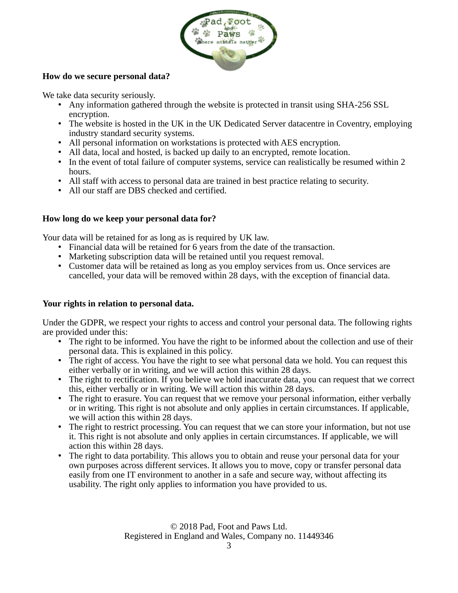

# **How do we secure personal data?**

We take data security seriously.

- Any information gathered through the website is protected in transit using SHA-256 SSL encryption.
- The website is hosted in the UK in the UK Dedicated Server datacentre in Coventry, employing industry standard security systems.
- All personal information on workstations is protected with AES encryption.
- All data, local and hosted, is backed up daily to an encrypted, remote location.
- In the event of total failure of computer systems, service can realistically be resumed within 2 hours.
- All staff with access to personal data are trained in best practice relating to security.
- All our staff are DBS checked and certified.

# **How long do we keep your personal data for?**

Your data will be retained for as long as is required by UK law.

- Financial data will be retained for 6 years from the date of the transaction.
- Marketing subscription data will be retained until you request removal.
- Customer data will be retained as long as you employ services from us. Once services are cancelled, your data will be removed within 28 days, with the exception of financial data.

# **Your rights in relation to personal data.**

Under the GDPR, we respect your rights to access and control your personal data. The following rights are provided under this:

- The right to be informed. You have the right to be informed about the collection and use of their personal data. This is explained in this policy.
- The right of access. You have the right to see what personal data we hold. You can request this either verbally or in writing, and we will action this within 28 days.
- The right to rectification. If you believe we hold inaccurate data, you can request that we correct this, either verbally or in writing. We will action this within 28 days.
- The right to erasure. You can request that we remove your personal information, either verbally or in writing. This right is not absolute and only applies in certain circumstances. If applicable, we will action this within 28 days.
- The right to restrict processing. You can request that we can store your information, but not use it. This right is not absolute and only applies in certain circumstances. If applicable, we will action this within 28 days.
- The right to data portability. This allows you to obtain and reuse your personal data for your own purposes across different services. It allows you to move, copy or transfer personal data easily from one IT environment to another in a safe and secure way, without affecting its usability. The right only applies to information you have provided to us.